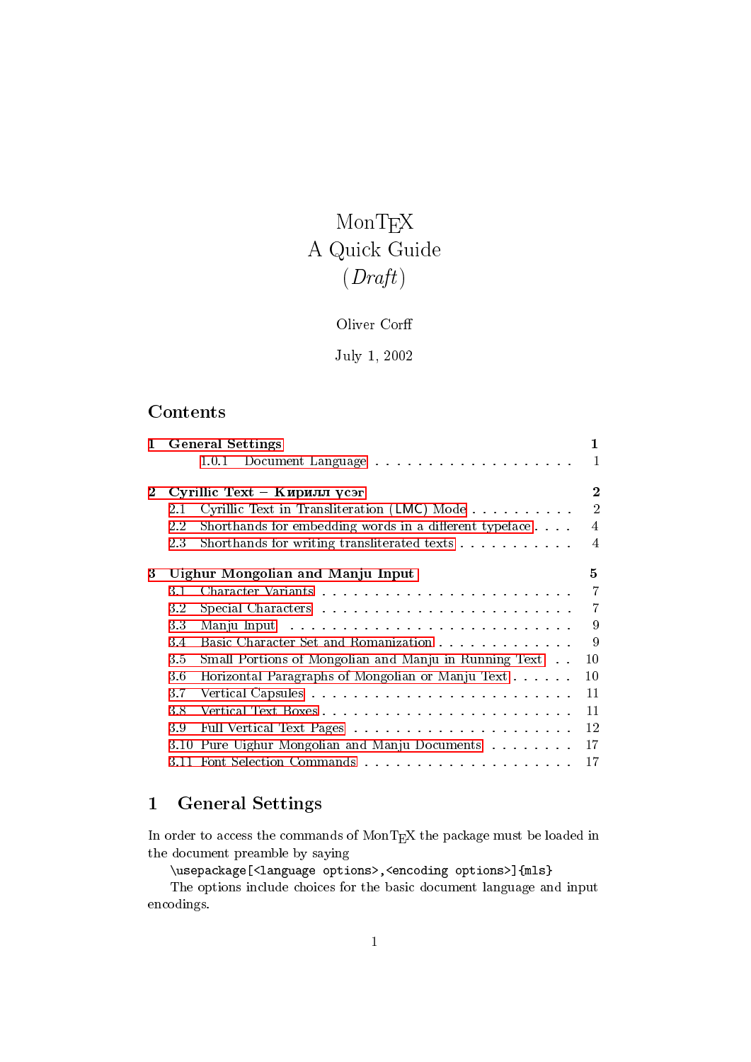# MonTEX A Quick Guide  $(Draff)$

### Oliver Cor

### July 1, 2002

### Contents

| 1.       |         | <b>General Settings</b>                                                                                       |                |
|----------|---------|---------------------------------------------------------------------------------------------------------------|----------------|
|          |         | 1.0.1                                                                                                         | 1              |
| $\bf{2}$ |         | Cyrillic Text - Кирилл $\gamma$ сэг                                                                           | $\bf{2}$       |
|          | 2.1     | Cyrillic Text in Transliteration (LMC) Mode                                                                   | $\overline{2}$ |
|          | 2.2     | Shorthands for embedding words in a different typeface                                                        | $\overline{4}$ |
|          | 2.3     | Shorthands for writing transliterated texts                                                                   | $\overline{4}$ |
| 3        |         | Uighur Mongolian and Manju Input                                                                              | 5              |
|          | 3.1     |                                                                                                               | 7              |
|          | $3.2\,$ |                                                                                                               | 7              |
|          | 3.3     | Manju Input received and the contract of the service of the Manju Input of the contract of the Manju Indian S | 9              |
|          | 3.4     | Basic Character Set and Romanization                                                                          | 9              |
|          | 3.5     | Small Portions of Mongolian and Manju in Running Text                                                         | 10             |
|          | 3.6     | Horizontal Paragraphs of Mongolian or Manju Text                                                              | 10             |
|          | 3.7     |                                                                                                               | 11             |
|          | 3.8     |                                                                                                               | 11             |
|          | 3.9     |                                                                                                               | 12             |
|          | 3.10    | Pure Uighur Mongolian and Manju Documents                                                                     | 17             |
|          |         |                                                                                                               | 17             |

## <span id="page-0-0"></span>1 General Settings

In order to access the commands of MonTEX the package must be loaded in the document preamble by saying

\usepackage[<language options>,<encoding options>]{mls}

The options include choices for the basic document language and input encodings.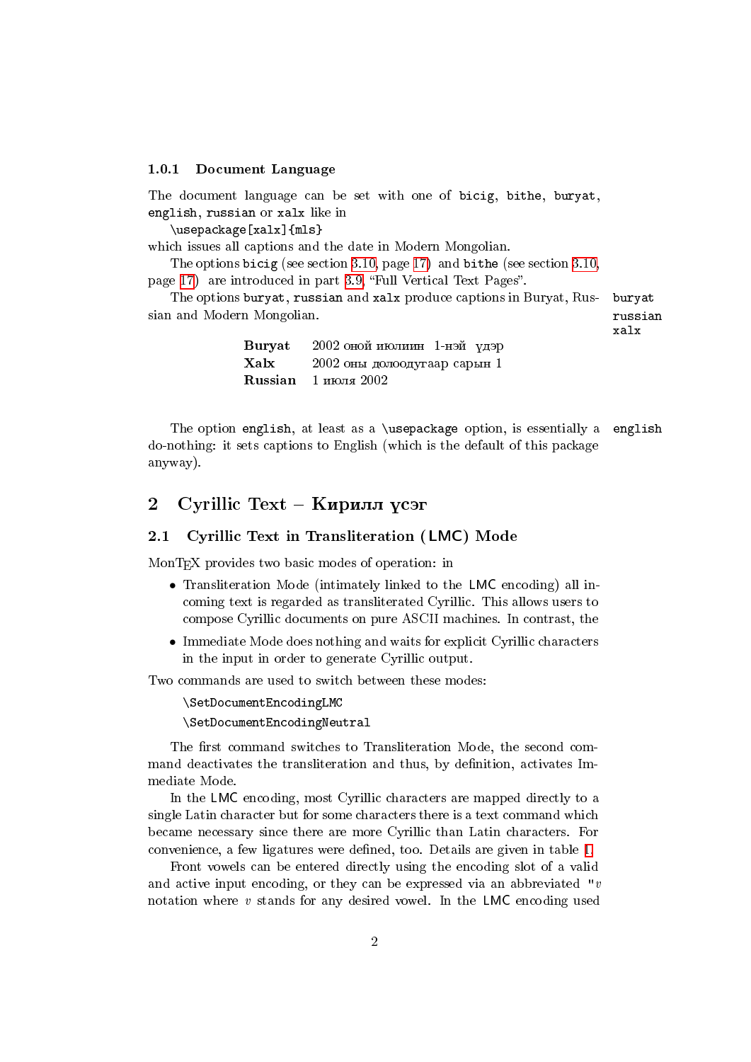#### <span id="page-1-0"></span>1.0.1 Document Language

The document language can be set with one of bicig, bithe, buryat, english, russian or xalx like in

\usepackage[xalx]{mls}

which issues all captions and the date in Modern Mongolian.

The options bicig (see section [3.10,](#page-16-0) page [17\)](#page-16-2) and bithe (see section [3.10](#page-16-0), page [17\)](#page-16-2) are introduced in part [3.9,](#page-12-0) "Full Vertical Text Pages".

The options buryat, russian and xalx produce captions in Buryat, Rus- buryat russian sian and Modern Mongolian.

xalx

| Buryat | 2002 оной июлиин 1-нэй үдэр    |
|--------|--------------------------------|
| Xalx   | $2002$ оны долоодугаар сарын 1 |
|        | Russian $1 \text{ m}$          |

The option english, at least as a \usepackage option, is essentially a english do-nothing: it sets captions to English (which is the default of this package anyway).

## <span id="page-1-1"></span>2 Cyrillic Text – Кирилл үсэг

### <span id="page-1-2"></span>2.1 Cyrillic Text in Transliteration (LMC) Mode

MonTEX provides two basic modes of operation: in

- Transliteration Mode (intimately linked to the LMC encoding) all incoming text is regarded as transliterated Cyrillic. This allows users to compose Cyrillic documents on pure ASCII machines. In contrast, the
- Immediate Mode does nothing and waits for explicit Cyrillic characters in the input in order to generate Cyrillic output.

Two commands are used to switch between these modes:

```
\SetDocumentEncodingLMC
\SetDocumentEncodingNeutral
```
The first command switches to Transliteration Mode, the second command deactivates the transliteration and thus, by definition, activates Immediate Mode.

In the LMC encoding, most Cyrillic characters are mapped directly to a single Latin character but for some characters there is a text command which became necessary since there are more Cyrillic than Latin characters. For convenience, a few ligatures were defined, too. Details are given in table [1.](#page-2-0)

Front vowels can be entered directly using the encoding slot of a valid and active input encoding, or they can be expressed via an abbreviated " $v$ notation where  $v$  stands for any desired vowel. In the LMC encoding used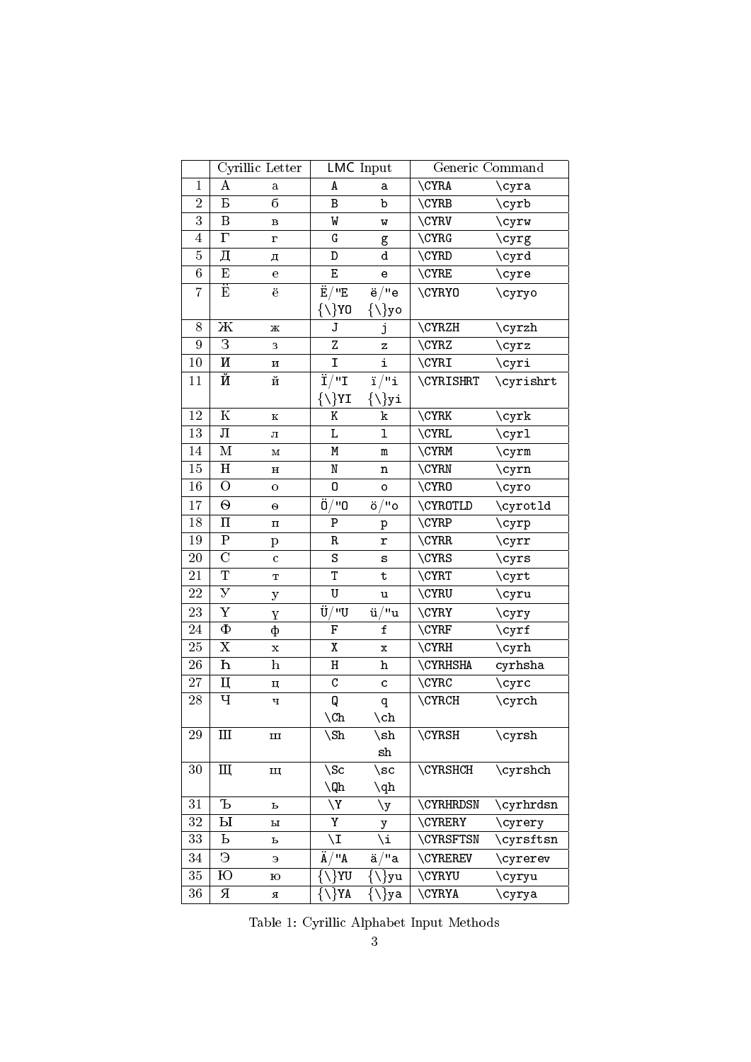|                  | Cyrillic Letter           |              | LMC Input                           |                                     | Generic Command |                          |  |
|------------------|---------------------------|--------------|-------------------------------------|-------------------------------------|-----------------|--------------------------|--|
| $\mathbf{1}$     | A                         | a            | A                                   | a                                   | \CYRA           | \cyra                    |  |
| $\overline{2}$   | Б                         | б            | B                                   | b                                   | \CYRB           | $\sqrt{cyrb}$            |  |
| 3                | Β                         | в            | W                                   | W                                   | \CYRV           | \cyrw                    |  |
| $\overline{4}$   | $\overline{\Gamma}$       | $\Gamma$     | G                                   | g                                   | \CYRG           | $\verb \cyrg $           |  |
| 5                | Д                         | д            | D                                   | d                                   | \CYRD           | $\verb \cyrd $           |  |
| $6\phantom{.0}$  | E                         | е            | E                                   | e                                   | \CYRE           | $\backslash$ cyre        |  |
| 7                | Ë                         | ë            | $\ddot{\mathbf{E}}$ /"E             | ë/"e                                | \CYRY0          | \cyryo                   |  |
|                  |                           |              | $\{ \setminus \}$ YO                | $\{\setminus\}$ yo                  |                 |                          |  |
| 8                | Ж                         | Ж            | J                                   | j                                   | \CYRZH          | $\zeta$ rzh              |  |
| $\boldsymbol{9}$ | 3                         | 3            | Z                                   | z                                   | \CYRZ           | \cyrz                    |  |
| 10               | И                         | и            | I                                   | i                                   | \CYRI           | \cyri                    |  |
| 11               | Й                         | й            | $\ddot{\mathrm{I}}$ /" $\mathrm{I}$ | i''i                                | \CYRISHRT       | \cyrishrt                |  |
|                  |                           |              | $\{ \setminus \}$ YI                | $\{\setminus\}$ yi                  |                 |                          |  |
| 12               | $\mathbf K$               | к            | Κ                                   | k                                   | \CYRK           | $\verb \cyrk $           |  |
| 13               | Л                         | Л            | L                                   | 1                                   | \CYRL           | $\overline{\text{cyrl}}$ |  |
| 14               | М                         | М            | М                                   | m                                   | \CYRM           | \cyrm                    |  |
| 15               | $\boldsymbol{\mathrm{H}}$ | н            | N                                   | n                                   | \CYRN           | \cyrn                    |  |
| $16\,$           | $\overline{O}$            | 0            | 0                                   | о                                   | \CYRO           | \cyro                    |  |
| 17               | $\Theta$                  | Θ            | $0''$ "                             | ö/"o                                | <b>\CYROTLD</b> | \cyrotld                 |  |
| 18               | Π                         | п            | P                                   | p                                   | \CYRP           | \cyrp                    |  |
| $19\,$           | ${\bf P}$                 | p            | R,                                  | r                                   | \CYRR           | \cyrr                    |  |
| $20\,$           | $\mathcal C$              | $\mathbf{C}$ | S                                   | s                                   | \CYRS           | $\sqrt{c}yrs$            |  |
| 21               | T                         | т            | T                                   | t                                   | \CYRT           | \cyrt                    |  |
| $2\sqrt{2}$      | $\mathbf{y}$              | y            | $\ensuremath{\mathbf{U}}$           | u                                   | \CYRU           | \cyru                    |  |
| 23               | Y                         | $\mathbf Y$  | Ü/"∪                                | $\ddot{\mathbf{u}}$ /" $\mathbf{u}$ | \CYRY           | \cyry                    |  |
| 24               | Ф                         | ф            | F                                   | f                                   | \CYRF           | $\sqrt{cyrf}$            |  |
| $25\,$           | $\mathbf X$               | X            | X                                   | x                                   | \CYRH           | $\sqrt{cyrh}$            |  |
| 26               | $\mathbf h$               | h            | Η                                   | h                                   | \CYRHSHA        | cyrhsha                  |  |
| $2\,7$           | Ц                         | ц            | C                                   | $\mathbf C$                         | \CYRC           | $\sqrt{cyrc}$            |  |
| 28               | Ч                         | ч            | Q                                   | q                                   | \CYRCH          | $\verb \cyrch $          |  |
|                  |                           |              | $\setminus$ Ch                      | $\n\cosh$                           |                 |                          |  |
| 29               | Ш                         | Ш            | \Sh                                 | \sh                                 | \CYRSH          | \cyrsh                   |  |
|                  |                           |              |                                     | sh                                  |                 |                          |  |
| 30               | Щ                         | щ            | $\setminus$ Sc                      | \sc                                 | \CYRSHCH        | \cyrshch                 |  |
|                  |                           |              | \Qh                                 | \qh                                 |                 |                          |  |
| 31               | Ъ                         | ь            | $\sqrt{Y}$                          | $\sqrt{y}$                          | <b>CYRHRDSN</b> | \cyrhrdsn                |  |
| 32               | Ы                         | ы            | Y                                   | y                                   | \CYRERY         | \cyrery                  |  |
| 33               | Ь                         | ь            | ۱I                                  | ۱i                                  | \CYRSFTSN       | \cyrsftsn                |  |
| 34               | Э                         | Э            | $\ddot{\text{A}}$ /" $\text{A}$     | $a^{\prime}$ "a                     | \CYREREV        | \cyrerev                 |  |
| 35               | Ю                         | ю            |                                     | ∤ yu                                | <b>CYRYU</b>    | \cyryu                   |  |
| 36               | Я                         | я            | $\{ \setminus \}$ Y A               | {∖}ya                               | \CYRYA          | \cyrya                   |  |

<span id="page-2-0"></span>Table 1: Cyrillic Alphabet Input Methods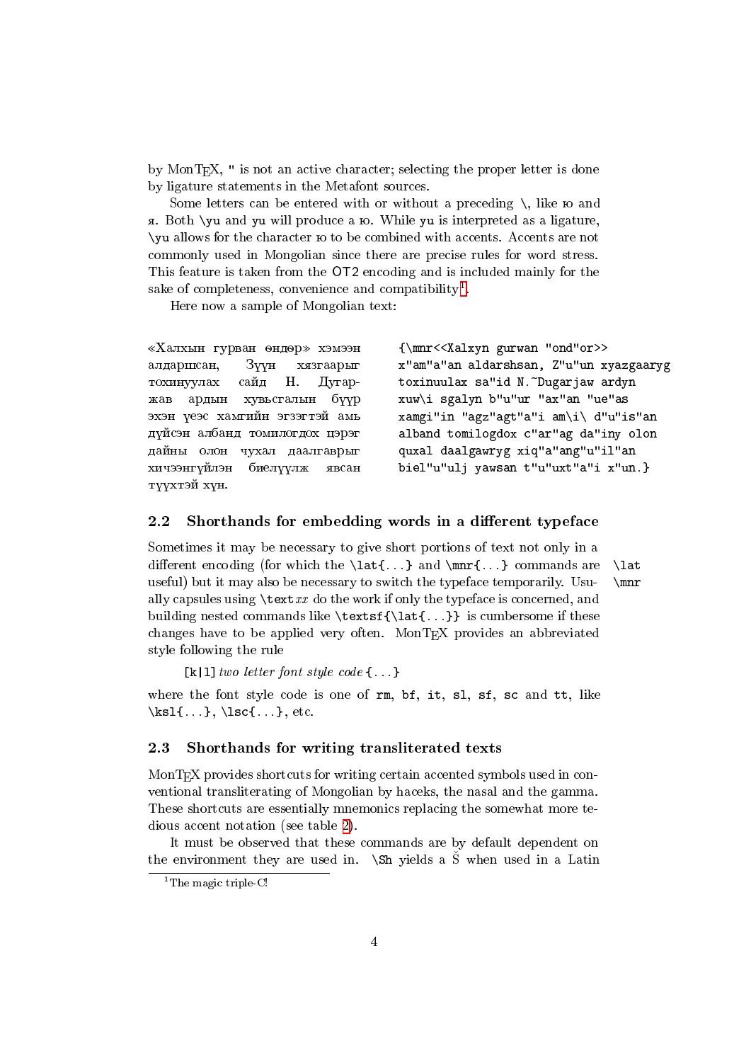by MonT<sub>E</sub>X,  $\mathbf{v}$  is not an active character; selecting the proper letter is done by ligature statements in the Metafont sources.

Some letters can be entered with or without a preceding  $\setminus$ , like io and ¶. Both \yu and yu will produce a µ. While yu is interpreted as a ligature, \yu allows for the character µ to be combined with accents. Accents are not commonly used in Mongolian since there are precise rules for word stress. This feature is taken from the OT2 encoding and is included mainly for the sake of completeness, convenience and compatibility<sup>[1](#page-3-2)</sup>.

Here now a sample of Mongolian text:

| «Халхын гурван өндөр» хэмээн   | {\mnr< <xalxyn "ond"or="" gurwan="">&gt;</xalxyn> |
|--------------------------------|---------------------------------------------------|
| алдаршсан, Зүүн хязгаарыг      | x"am"a"an aldarshsan, Z"u"un xyazgaaryg           |
| тохинуулах сайд Н. Дугар-      | toxinuulax sa"id N. "Dugarjaw ardyn               |
| жав ардын хувьсгалын бүүр      | xuw\i sgalyn b"u"ur "ax"an "ue"as                 |
| эхэн үеэс хамгийн эгзэгтэй амь | xamgi"in "agz"agt"a"i am\i\ d"u"is"an             |
| дүйсэн албанд томилогдох цэрэг | alband tomilogdox c"ar"ag da"iny olon             |
| дайны олон чухал даалгаврыг    | quxal daalgawryg xiq"a"ang"u"il"an                |
| хичээнгүйлэн биелүүлж явсан    | biel"u"ulj yawsan t"u"uxt"a"i x"un.}              |
| тvvxтэй хvн.                   |                                                   |

#### <span id="page-3-0"></span>2.2 Shorthands for embedding words in a different typeface

Sometimes it may be necessary to give short portions of text not only in a different encoding (for which the  $\lat{...}$  and  $\text{...}$  commands are  $\lat$ useful) but it may also be necessary to switch the typeface temporarily. Usu- \mnr ally capsules using  $\text{text } x \text{ do the work if only the typeface is concerned, and}$ building nested commands like  $\text{\left.\ldots\right\}$  is cumbersome if these changes have to be applied very often. MonT<sub>E</sub>X provides an abbreviated style following the rule

 $[k|1]$  two letter font style code  $\{\ldots\}$ 

where the font style code is one of rm, bf, it, sl, sf, sc and tt, like  $\ksl{...}, \lucceq$ ...}, etc.

#### <span id="page-3-1"></span>2.3 Shorthands for writing transliterated texts

MonTEX provides shortcuts for writing certain accented symbols used in conventional transliterating of Mongolian by haceks, the nasal and the gamma. These shortcuts are essentially mnemonics replacing the somewhat more tedious accent notation (see table [2\)](#page-4-1).

It must be observed that these commands are by default dependent on the environment they are used in.  $\Sh$  yields a  $\S$  when used in a Latin

<span id="page-3-2"></span> $1$ The magic triple-C!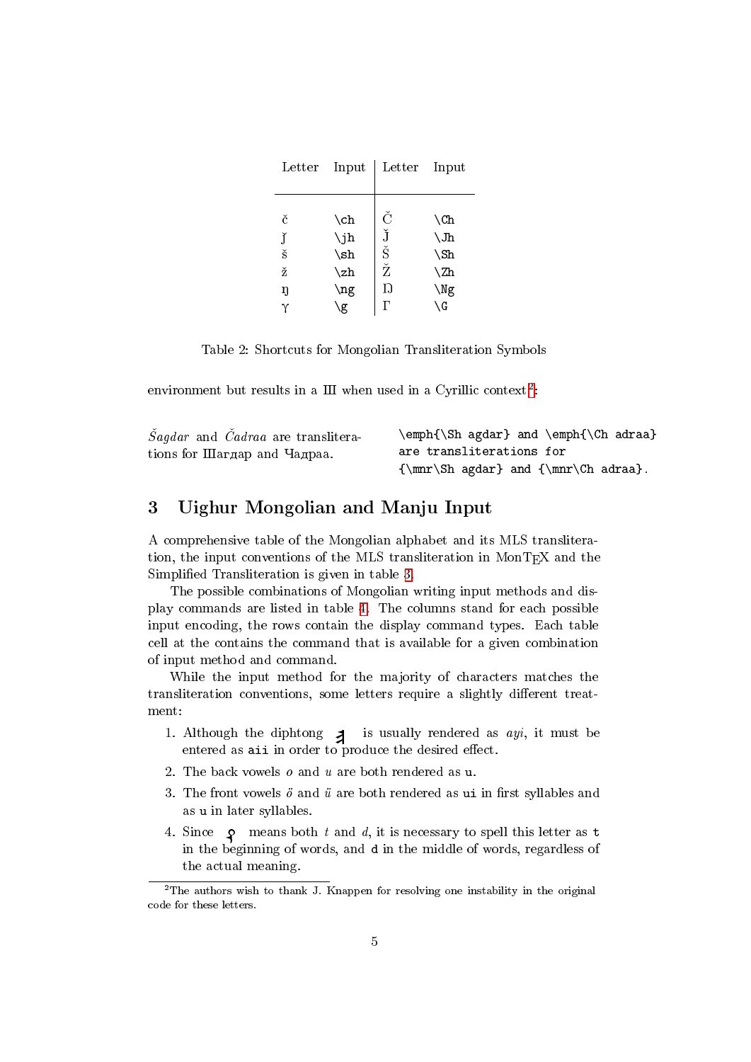| Letter                | Input                                                                                   | Letter                | Input                                                         |
|-----------------------|-----------------------------------------------------------------------------------------|-----------------------|---------------------------------------------------------------|
| č<br>Ĵ<br>š<br>ž<br>ŋ | $\backslash$ ch<br>$\backslash \mathrm{jh}$<br>$\sqrt{\text{sh}}$<br>$\zeta$<br>$\ln g$ | Č<br>Š<br>Š<br>Ž<br>Ŋ | $\setminus$ Ch<br>$\setminus$ Jh<br>$\S h$<br>$\sum h$<br>\Ng |
|                       | ιg                                                                                      |                       | ۱G                                                            |

<span id="page-4-1"></span>Table 2: Shortcuts for Mongolian Transliteration Symbols

environment but results in a  $III$  when used in a Cyrillic context<sup>[2](#page-4-2)</sup>:

| $\tilde{S}agdar$ and $\tilde{C}adraa$ are translitera- | \emph{\Sh agdar} and \emph{\Ch adraa}    |
|--------------------------------------------------------|------------------------------------------|
| tions for Шагдар and Чадраа.                           | are transliterations for                 |
|                                                        | ${\rm Sh\ agdar}$ and ${\rm Ch\ adraa}.$ |

## <span id="page-4-0"></span>3 Uighur Mongolian and Manju Input

A comprehensive table of the Mongolian alphabet and its MLS transliteration, the input conventions of the MLS transliteration in MonTEX and the Simplified Transliteration is given in table [3.](#page-5-0)

The possible combinations of Mongolian writing input methods and display commands are listed in table [4.](#page-6-1) The columns stand for each possible input encoding, the rows contain the display command types. Each table cell at the contains the command that is available for a given combination of input method and command.

While the input method for the majority of characters matches the transliteration conventions, some letters require a slightly different treatment:

- 1. Although the diphtong  $\rightarrow$  is usually rendered as *ayi*, it must be entered as aii in order to produce the desired effect.
- 2. The back vowels  $o$  and  $u$  are both rendered as  $u$ .
- 3. The front vowels  $\ddot{o}$  and  $\ddot{u}$  are both rendered as ui in first syllables and as u in later syllables.
- 4. Since  $\int$  means both t and d, it is necessary to spell this letter as t in the beginning of words, and d in the middle of words, regardless of the actual meaning.

<span id="page-4-2"></span> $^{2}$ The authors wish to thank J. Knappen for resolving one instability in the original code for these letters.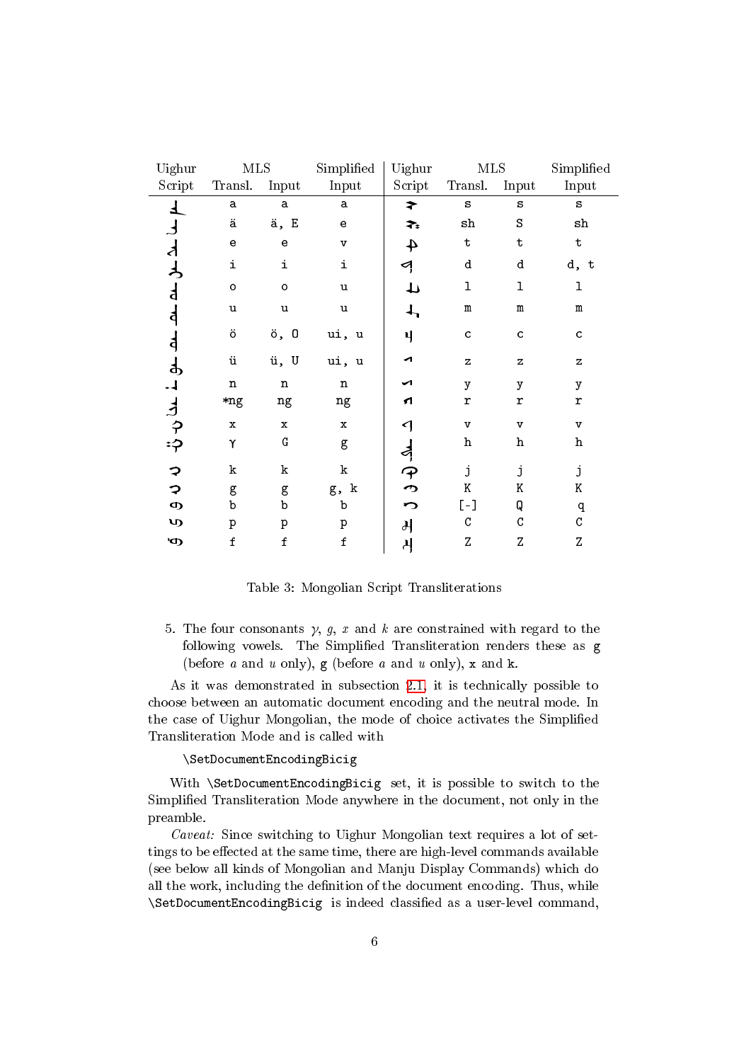| Uighur              | <b>MLS</b>    |              | Simplified               | Uighur    | MLS                     |             | Simplified  |
|---------------------|---------------|--------------|--------------------------|-----------|-------------------------|-------------|-------------|
| Script              | Transl. Input |              | Input                    | Script    | Transl. Input           |             | Input       |
|                     | a             | a            | a                        | ≯         | S                       | s           | s           |
|                     | ä             | ä, E         | е                        | ≯         | sh                      | S           | sh          |
|                     | e             | e            | $\mathbf v$              | 4         | t                       | t           | $\sf t$     |
| Ļ                   | i             | i            | i                        | ◁         | d                       | d           | d, t        |
| Ł                   | $\circ$       | $\circ$      | u                        |           | 1                       | 1           | $\mathbf 1$ |
| ą                   | $\bf u$       | $\bf u$      | u                        |           | $\mathbf m$             | $\mathbf m$ | $\mathbf m$ |
| ą                   | ö             | ö, O         | ui, u                    | 4         | $\mathbf C$             | C           | $\mathbf C$ |
| ჭ                   | ü             | ü, U         | ui, u                    | ◢         | z                       | $\mathbf z$ | z           |
|                     | $\mathbf n$   | $\mathbf n$  | $\mathbf n$              | ∽         | y                       | y           | y           |
| すっけ                 | *ng           | ng           | ng                       | <b>VI</b> | ${\bf r}$               | ${\bf r}$   | ${\bf r}$   |
|                     | $\mathbf x$   | $\mathbf x$  | $\mathbf x$              | ⊲         | $\overline{\mathbf{v}}$ | $\mathbf v$ | $\mathbf v$ |
|                     | Υ             | G            | g                        |           | ${\bf h}$               | h           | ${\bf h}$   |
| $\Rightarrow$       | k             | $\bf k$      | k                        |           | j                       | j           | j           |
| $\Rightarrow$       | g             | $\mathsf g$  | $\mathbf{g},~\mathbf{k}$ |           | Κ                       | Κ           | Κ           |
| $\boldsymbol{\Phi}$ | $\mathbf b$   | b            | $\mathbf b$              | ∽         | [-]                     | Q           | q           |
| ஶ                   | p             | $\, {\bf p}$ | p                        | 서         | C                       | C           | C           |
| Ď                   | $\mathbf f$   | $\mathbf f$  | $\mathtt{f}$             | 시         | Z                       | Z           | Z           |

<span id="page-5-0"></span>Table 3: Mongolian Script Transliterations

5. The four consonants  $y$ ,  $g$ ,  $x$  and  $k$  are constrained with regard to the following vowels. The Simplified Transliteration renders these as g (before  $a$  and  $u$  only),  $g$  (before  $a$  and  $u$  only),  $x$  and  $k$ .

As it was demonstrated in subsection [2.1,](#page-1-2) it is technically possible to choose between an automatic document encoding and the neutral mode. In the case of Uighur Mongolian, the mode of choice activates the Simplied Transliteration Mode and is called with

#### \SetDocumentEncodingBicig

With \SetDocumentEncodingBicig set, it is possible to switch to the Simplified Transliteration Mode anywhere in the document, not only in the preamble.

Caveat: Since switching to Uighur Mongolian text requires a lot of settings to be effected at the same time, there are high-level commands available (see below all kinds of Mongolian and Manju Display Commands) which do all the work, including the definition of the document encoding. Thus, while \SetDocumentEncodingBicig is indeed classified as a user-level command,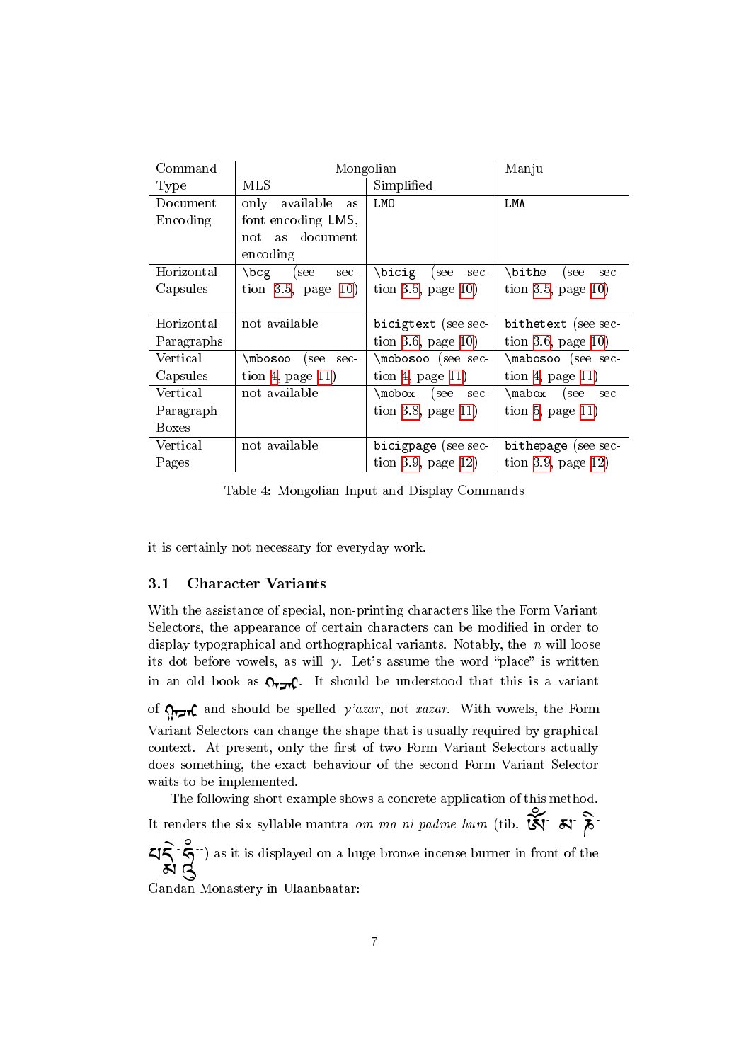| Command      |                                 | Mongolian              | Manju                    |  |
|--------------|---------------------------------|------------------------|--------------------------|--|
| Type         | MLS.                            | Simplified             |                          |  |
| Document     | only<br>available<br>as         | LM0                    | LMA                      |  |
| Encoding     | font encoding LMS,              |                        |                          |  |
|              | not as document                 |                        |                          |  |
|              | encoding                        |                        |                          |  |
| Horizontal   | $\begin{cases}$<br>(see<br>sec- | \bicig<br>(see<br>sec- | \bithe<br>(see<br>sec-   |  |
| Capsules     | tion $3.5$ , page $10$ )        | tion 3.5, page $10$ )  | tion $3.5$ , page $10$ ) |  |
|              |                                 |                        |                          |  |
| Horizontal   | not available                   | bicigtext (see sec-    | bithetext (see sec-      |  |
|              |                                 |                        |                          |  |
| Paragraphs   |                                 | tion 3.6, page $10$ )  | tion $3.6$ , page $10$ ) |  |
| Vertical     | \mbosoo (see sec-               | \mobosoo (see sec-     | \mabosoo (see sec-       |  |
| Capsules     | tion 4, page $11$ )             | tion 4, page $11$ )    | tion 4, page $11$ )      |  |
| Vertical     | not available                   | \mobox<br>$(see \tsec$ | \mabox (see sec-         |  |
| Paragraph    |                                 | tion 3.8, page $11$ )  | tion $5$ , page $11$ )   |  |
| <b>Boxes</b> |                                 |                        |                          |  |
| Vertical     | not available                   | bicigpage (see sec-    | bithepage (see sec-      |  |

<span id="page-6-1"></span>Table 4: Mongolian Input and Display Commands

it is certainly not necessary for everyday work.

#### <span id="page-6-0"></span>3.1 Character Variants

With the assistance of special, non-printing characters like the Form Variant Selectors, the appearance of certain characters can be modified in order to display typographical and orthographical variants. Notably, the  $n$  will loose its dot before vowels, as will  $\gamma$ . Let's assume the word "place" is written in an old book as  $\theta$ <sub>r</sub>, It should be understood that this is a variant

of  $\bigcap_{n\in\mathbb{N}}$  and should be spelled  $\gamma'$  azar, not xazar. With vowels, the Form Variant Selectors can change the shape that is usually required by graphical context. At present, only the first of two Form Variant Selectors actually does something, the exact behaviour of the second Form Variant Selector waits to be implemented.

The following short example shows a concrete application of this method. It renders the six syllable mantra *om ma ni padme hum* (tib.  $\overbrace{\mathbf{X}}^{s}$ ,  $\mathbf{X}^{s}$ ,  $\overbrace{\mathbf{X}}^{s}$ 515  $\mathcal{E}$  $\cdot\mathring{\mathbf{5}}$ ß  $\cdot$ ) as it is displayed on a huge bronze incense burner in front of the

Gandan Monastery in Ulaanbaatar: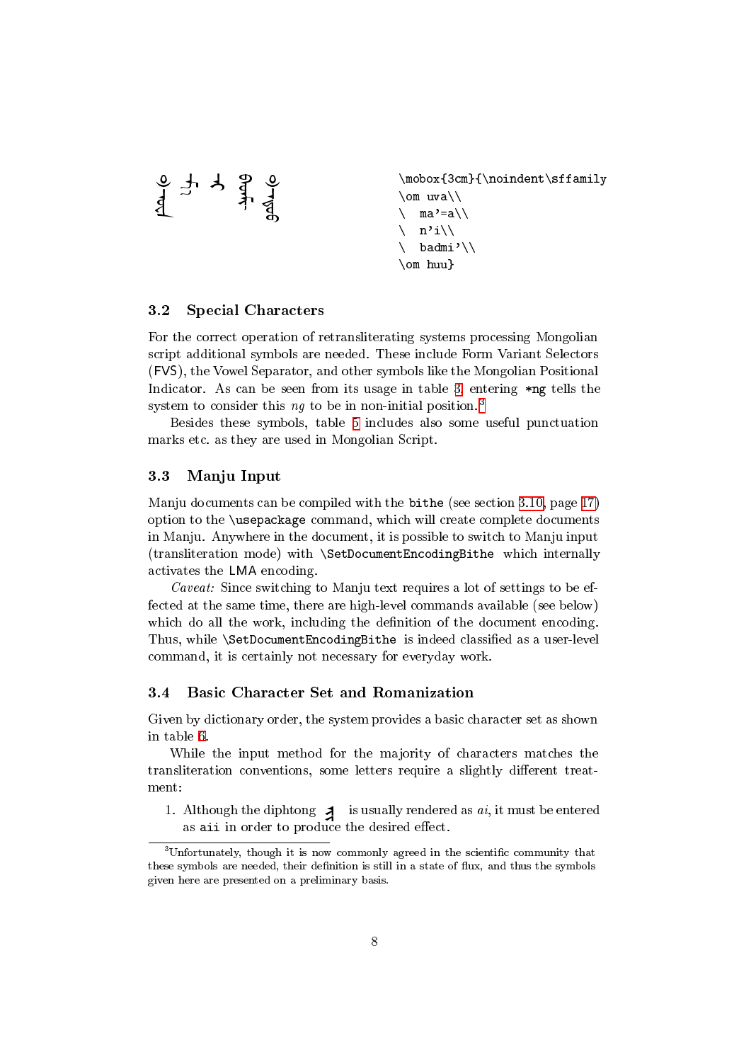$\frac{1}{2}$  defined by

\mobox{3cm}{\noindent\sffamily \om uva\\  $\langle$  ma'=a $\langle$  $\langle n'i \rangle$ \ badmi'\\ \om huu}

#### <span id="page-7-0"></span>3.2 Special Characters

For the correct operation of retransliterating systems processing Mongolian script additional symbols are needed. These include Form Variant Selectors (FVS), the Vowel Separator, and other symbols like the Mongolian Positional Indicator. As can be seen from its usage in table [3,](#page-5-0) entering \*ng tells the system to consider this  $ng$  to be in non-initial position.<sup>[3](#page-7-3)</sup>

Besides these symbols, table [5](#page-8-0) includes also some useful punctuation marks etc. as they are used in Mongolian Script.

#### <span id="page-7-1"></span>3.3 Manju Input

Manju documents can be compiled with the bithe (see section [3.10,](#page-16-0) page [17\)](#page-16-2) option to the \usepackage command, which will create complete documents in Manju. Anywhere in the document, it is possible to switch to Manju input (transliteration mode) with \SetDocumentEncodingBithe which internally activates the LMA encoding.

Caveat: Since switching to Manju text requires a lot of settings to be effected at the same time, there are high-level commands available (see below) which do all the work, including the definition of the document encoding. Thus, while \SetDocumentEncodingBithe is indeed classified as a user-level command, it is certainly not necessary for everyday work.

#### <span id="page-7-2"></span>3.4 Basic Character Set and Romanization

Given by dictionary order, the system provides a basic character set as shown in table [6.](#page-9-3)

While the input method for the majority of characters matches the transliteration conventions, some letters require a slightly different treatment:

1. Although the diphtong  $\Box$  is usually rendered as  $ai$ , it must be entered as aii in order to produce the desired effect.

<span id="page-7-3"></span> $3$ Unfortunately, though it is now commonly agreed in the scientific community that these symbols are needed, their definition is still in a state of flux, and thus the symbols given here are presented on a preliminary basis.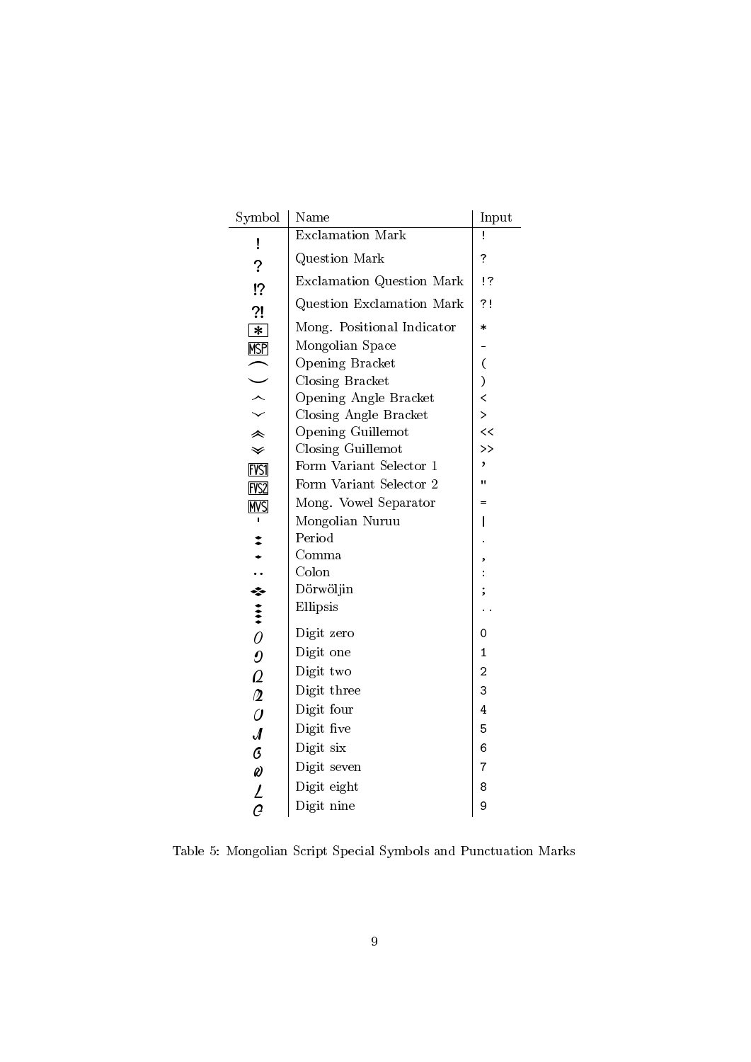| Symbol                            | Name                       | Input                    |
|-----------------------------------|----------------------------|--------------------------|
| ļ                                 | <b>Exclamation Mark</b>    |                          |
| $\ddot{ }$                        | Question Mark              | ?                        |
| i?                                | Exclamation Question Mark  | !?                       |
| ?!                                | Question Exclamation Mark  | $\overline{?}!$          |
| $\ast$                            | Mong. Positional Indicator | $\ast$                   |
| <b>MSP</b>                        | Mongolian Space            |                          |
|                                   | Opening Bracket            | $\overline{\mathcal{L}}$ |
|                                   | Closing Bracket            | $\overline{\phantom{a}}$ |
| $\leftarrow$                      | Opening Angle Bracket      | $\overline{\phantom{0}}$ |
| $\checkmark$                      | Closing Angle Bracket      | $\mathbf{I}$             |
| $\hat{\mathbf{z}}$                | Opening Guillemot          | <<                       |
| $\checkmark$                      | Closing Guillemot          | $\gt$                    |
| <b>FVS1</b>                       | Form Variant Selector 1    | ,                        |
| <b>FVS2</b>                       | Form Variant Selector 2    | Ĥ                        |
| <b>MVS</b>                        | Mong. Vowel Separator      | $\equiv$                 |
| П                                 | Mongolian Nuruu            | $\mathsf{l}$             |
|                                   | Period                     |                          |
|                                   | Comma                      |                          |
|                                   | Colon                      |                          |
|                                   | Dörwöljin                  | $\colon$                 |
| ※ミの                               | Ellipsis                   |                          |
|                                   | Digit zero                 | 0                        |
| $\boldsymbol{\vartheta}$          | Digit one                  | 1                        |
| $\overline{\mathcal{Q}}$          | Digit two                  | $\overline{2}$           |
| $\overline{2}$                    | Digit three                | 3                        |
| $\overline{O}$                    | Digit four                 | 4                        |
| $\overline{\mathcal{M}}$          | Digit five                 | 5                        |
| G                                 | Digit six                  | 6                        |
| Ø                                 | Digit seven                | 7                        |
|                                   | Digit eight                | 8                        |
| $\frac{\mathcal{L}}{\mathcal{C}}$ | Digit nine                 | 9                        |
|                                   |                            |                          |

<span id="page-8-0"></span>Table 5: Mongolian Script Special Symbols and Punctuation Marks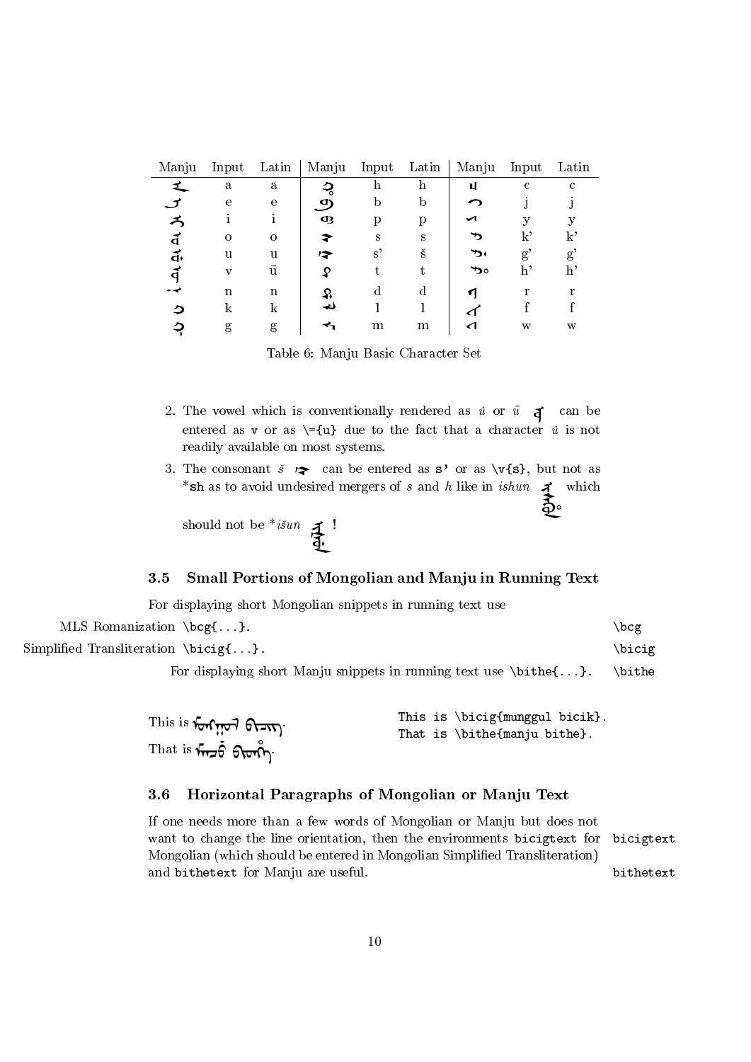<span id="page-9-2"></span>

| Manju | Input        | Latin    | Manju | Input                 | Latin | Manju | Input | Latin       |
|-------|--------------|----------|-------|-----------------------|-------|-------|-------|-------------|
|       | a            | a        | ၁     | h                     | h     | ป     | C     | $\mathbf c$ |
|       | e            | e        | q     | b                     |       |       |       |             |
|       |              |          | Œ,    | р                     | р     | ∽     | v     | у           |
| đ     | $\Omega$     | $\Omega$ |       | S                     | S     | ∽     | k     | k,          |
| र्वग  | u            | u        |       | $\mathbf{s}^{\prime}$ | š     | יכי   | g     | g'          |
| đ     | $\mathbf{v}$ | ū        |       | t,                    | t     | ঌ৽    | h     | h'          |
|       | n            | n        |       | d                     | d     |       | r     | r           |
| ੭     | k            | k        |       |                       |       |       |       |             |
|       | g            | g        |       | m                     | m     | ◁     | W     | W           |

<span id="page-9-3"></span>Table 6: Manju Basic Character Set

- 2. The vowel which is conventionally rendered as  $\hat{u}$  or  $\overline{u}$  **d** can be entered as v or as  $\equiv \{u\}$  due to the fact that a character  $\hat{u}$  is not readily available on most systems.
- 3. The consonant  $\check{s} \rightarrow \check{c}$  can be entered as  $s'$  or as  $\forall s$ , but not as \*sh as to avoid undesired mergers of  $s$  and  $h$  like in  $ishun$  $\bar{\Phi}^{\circ}$ 1 which

should not be \**išun*  $\frac{1}{2}$ !

#### <span id="page-9-0"></span>3.5 Small Portions of Mongolian and Manju in Running Text

For displaying short Mongolian snippets in running text use

| MLS Romanization $\begin{cases} \cdot & \cdot \end{cases}$ .                       | $\big\backslash$ bcg              |  |
|------------------------------------------------------------------------------------|-----------------------------------|--|
| Simplified Transliteration $\beta_1\$ .                                            | \bicig                            |  |
| $\Gamma$ on diontering chemi. Meniu oninneto in nunning text use $\Lambda$ hithe f | $\lambda$ L $\lambda$ L $\lambda$ |  |

For displaying short Manju snippets in running text use  $\bithe{...}$ .  $\bithe$ 

| $\text{This is }$ for $\text{mod } 6$ and $\text{dim}$ |  | This is $\bigcup \{munggu1 \text{ bic} \}.$ |
|--------------------------------------------------------|--|---------------------------------------------|
|                                                        |  | That is $\tilde{m}$ anju bithe}.            |
| That is $\pi_{\mathbf{v}}$ or $\pi_{\mathbf{v}}$ .     |  |                                             |

### <span id="page-9-1"></span>3.6 Horizontal Paragraphs of Mongolian or Manju Text

If one needs more than a few words of Mongolian or Manju but does not want to change the line orientation, then the environments bicigtext for bicigtext Mongolian (which should be entered in Mongolian Simplified Transliteration) and bithetext for Manju are useful. bithetext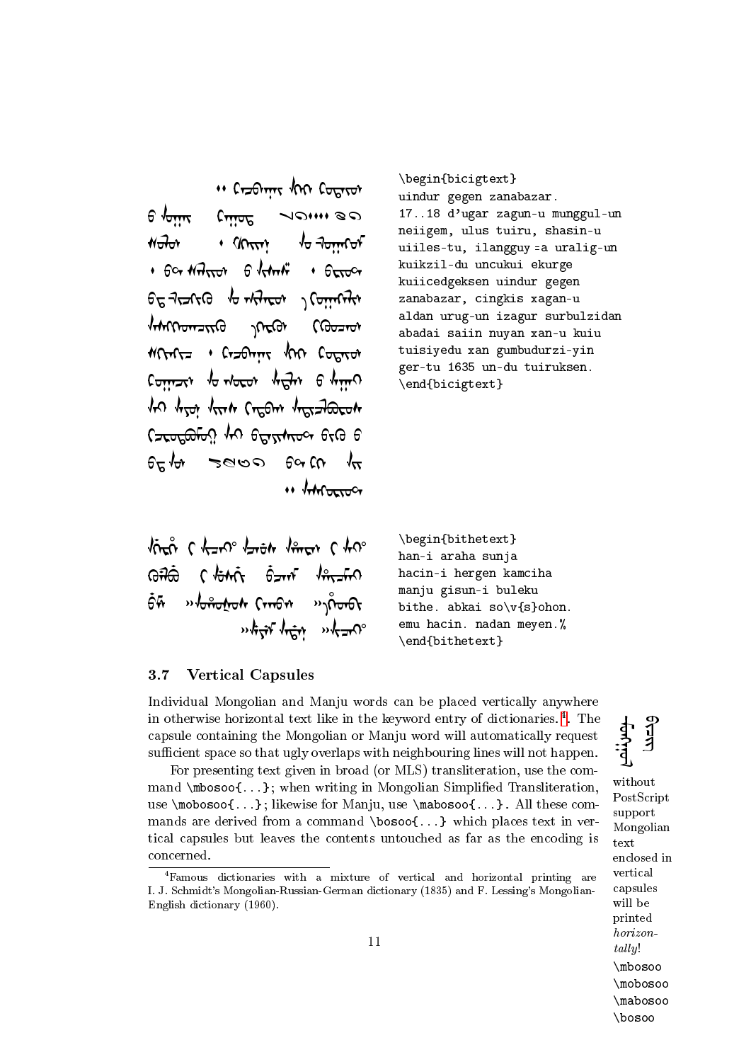<span id="page-10-2"></span>**11 Crobing for Cognot**  $65$   $7$ sz **A**  $\sqrt{a}$   $\sqrt{a}$   $\sqrt{a}$   $\sqrt{a}$   $\sqrt{a}$ Nants + Cromps lan Council Correct lo Noter home 6 lims for from forth Combat formation Cacacoton for parchero exce 6  $65\sigma$   $65\sigma$   $69\sigma$   $69\sigma$ \*\* Interested

\begin{bicigtext} uindur gegen zanabazar. 17..18 d'ugar zagun-u munggul-un neiigem, ulus tuiru, shasin-u uiiles-tu, ilangguy = a uralig-un kuikzil-du uncukui ekurge kuiicedgeksen uindur gegen zanabazar, cingkis xagan-u aldan urug-un izagur surbulzidan abadai saiin nuyan xan-u kuiu tuisiyedu xan gumbudurzi-yin ger-tu 1635 un-du tuiruksen. \end{bicigtext}

 $\int$  $G_{\mathcal{F}}$  $G_{\mathcal{F}}$  $G_{\mathcal{F}}$  $G_{\mathcal{F}}$   $G_{\mathcal{F}}$   $G_{\mathcal{F}}$   $G_{\mathcal{F}}$   $G_{\mathcal{F}}$   $G_{\mathcal{F}}$   $G_{\mathcal{F}}$   $G_{\mathcal{F}}$   $G_{\mathcal{F}}$   $G_{\mathcal{F}}$   $G_{\mathcal{F}}$   $G_{\mathcal{F}}$   $G_{\mathcal{F}}$   $G_{\mathcal{F}}$   $G_{\mathcal{F}}$   $G_{\mathcal{F}}$   $G_{\mathcal{F}}$   $G_{\$ <del>ᡠ</del>ᠮ᠇ ᠉ᡰᡉᡥᠦᢩᠰᠣᠰ᠂ᢉ᠋᠊ᠬᠨᡉ᠊ᠡᡰ ᠉᠍ᡪᡥᡝᠳᠪᡪ  $M_{\text{UV}}$  \begin{bithetext} han-i araha sunja hacin-i hergen kamciha manju gisun-i buleku bithe. abkai so\v{s}ohon. emu hacin. nadan meyen.% \end{bithetext}

#### <span id="page-10-0"></span>**Vertical Capsules**  $3.7$

Individual Mongolian and Manju words can be placed vertically anywhere in otherwise horizontal text like in the keyword entry of dictionaries.<sup>4</sup>. The capsule containing the Mongolian or Manju word will automatically request sufficient space so that ugly overlaps with neighbouring lines will not happen.

For presenting text given in broad (or MLS) transliteration, use the command  $mbosoo\{ \ldots \}$ ; when writing in Mongolian Simplified Transliteration, use  $\mbox{nobosoo}\{\ldots\}$ ; likewise for Manju, use  $\mbox{nobosoo}\{\ldots\}$ . All these commands are derived from a command \bosoo{...} which places text in vertical capsules but leaves the contents untouched as far as the encoding is concerned.

without PostScript support Mongolian text enclosed in vertical capsules will be printed horizon $tally!$ \mbosoo \mobosoo \mabosoo  $hosa$ 

ן בעל<br>13

<span id="page-10-1"></span><sup>&</sup>lt;sup>4</sup>Famous dictionaries with a mixture of vertical and horizontal printing are I. J. Schmidt's Mongolian-Russian-German dictionary (1835) and F. Lessing's Mongolian-English dictionary (1960).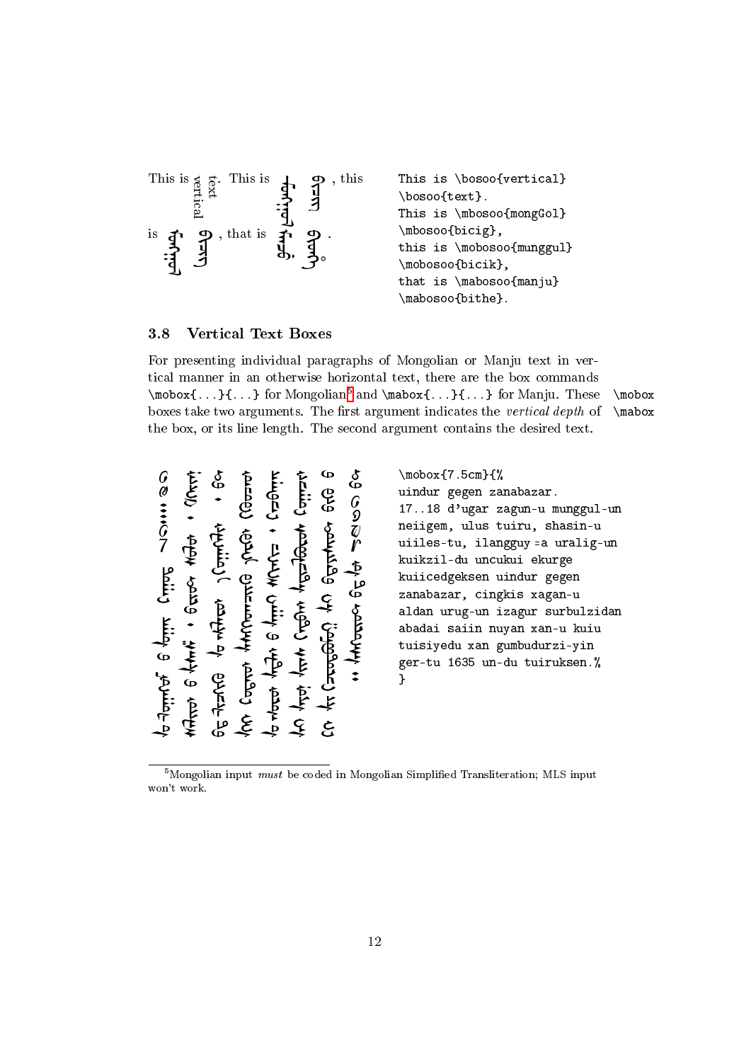<span id="page-11-2"></span>

#### <span id="page-11-0"></span>**Vertical Text Boxes** 3.8

For presenting individual paragraphs of Mongolian or Manju text in vertical manner in an otherwise horizontal text, there are the box commands  $\mbox{\n {...}}$  for Mongolian<sup>5</sup> and  $\mbox{\n {...}}$  for Manju. These  $\n *modo* x$ boxes take two arguments. The first argument indicates the vertical depth of  $\nabla x$ the box, or its line length. The second argument contains the desired text.



<span id="page-11-1"></span> $^5$ Mongolian input *must* be coded in Mongolian Simplified Transliteration; MLS input won't work.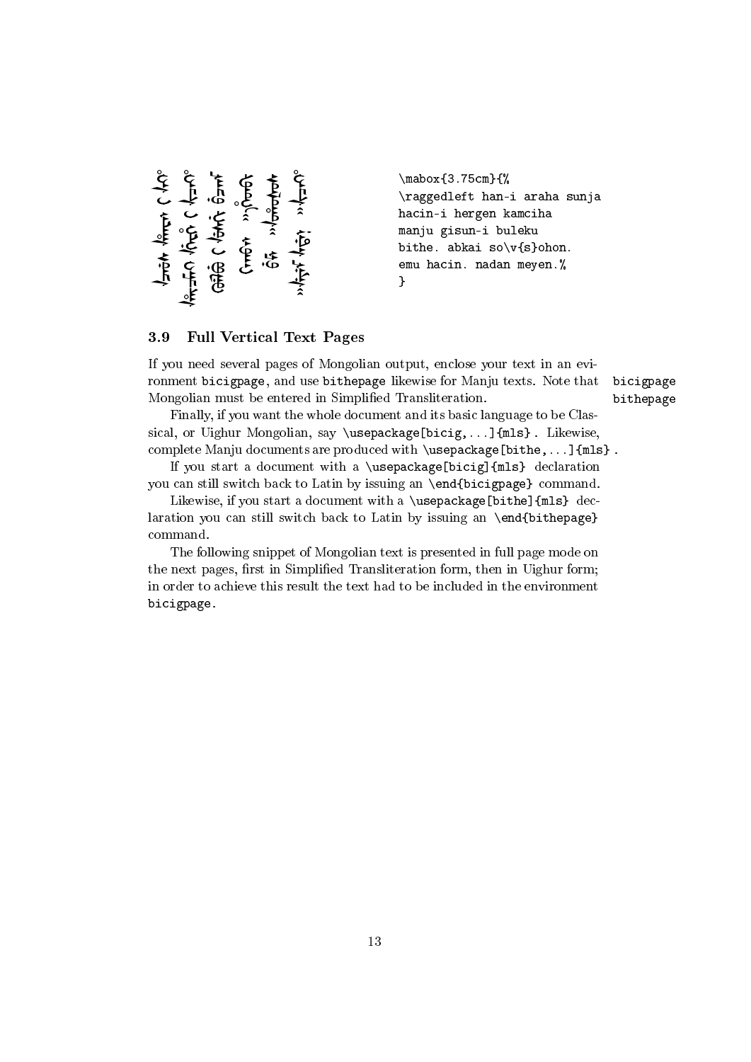

\mabox{3.75cm}{% \raggedleft han-i araha sunja hacin-i hergen kamciha manju gisun-i buleku bithe. abkai so\v{s}ohon. emu hacin. nadan meyen.%  $\mathbf{L}$ 

#### <span id="page-12-0"></span> $\bf 3.9$ **Full Vertical Text Pages**

If you need several pages of Mongolian output, enclose your text in an evironment bicigpage, and use bithepage likewise for Manju texts. Note that Mongolian must be entered in Simplified Transliteration.

bicigpage bithepage

Finally, if you want the whole document and its basic language to be Classical, or Uighur Mongolian, say \usepackage [bicig, ...] {mls} . Likewise, complete Manju documents are produced with \usepackage [bithe, ...] {mls}.

If you start a document with a \usepackage[bicig]{mls} declaration you can still switch back to Latin by issuing an \end{bicigpage} command.

Likewise, if you start a document with a \usepackage [bithe] {mls} declaration you can still switch back to Latin by issuing an \end{bithepage} command.

The following snippet of Mongolian text is presented in full page mode on the next pages, first in Simplified Transliteration form, then in Uighur form; in order to achieve this result the text had to be included in the environment bicigpage.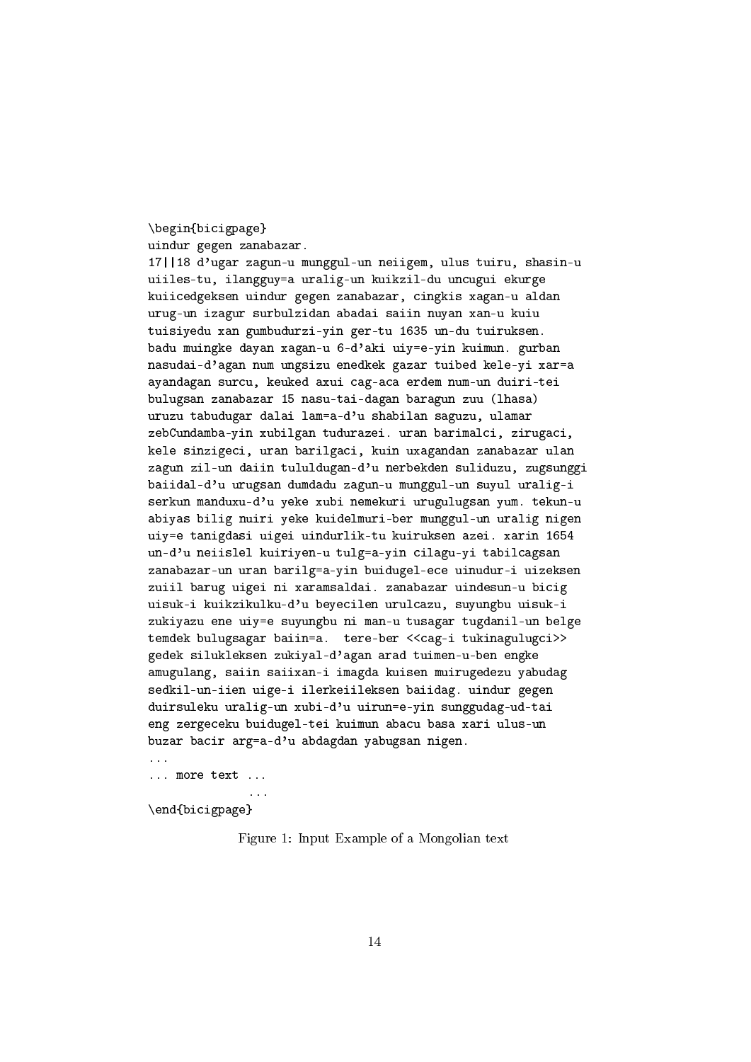#### \begin{bicigpage}

uindur gegen zanabazar.

17||18 d'ugar zagun-u munggul-un neiigem, ulus tuiru, shasin-u uiiles-tu, ilangguy=a uralig-un kuikzil-du uncugui ekurge kuiicedgeksen uindur gegen zanabazar, cingkis xagan-u aldan urug-un izagur surbulzidan abadai saiin nuyan xan-u kuiu tuisiyedu xan gumbudurzi-yin ger-tu 1635 un-du tuiruksen. badu muingke dayan xagan-u 6-d'aki uiy=e-yin kuimun. gurban nasudai-d'agan num ungsizu enedkek gazar tuibed kele-yi xar=a ayandagan surcu, keuked axui cag-aca erdem num-un duiri-tei bulugsan zanabazar 15 nasu-tai-dagan baragun zuu (lhasa) uruzu tabudugar dalai lam=a-d'u shabilan saguzu, ulamar zebCundamba-yin xubilgan tudurazei. uran barimalci, zirugaci, kele sinzigeci, uran barilgaci, kuin uxagandan zanabazar ulan zagun zil-un daiin tululdugan-d'u nerbekden suliduzu, zugsunggi baiidal-d'u urugsan dumdadu zagun-u munggul-un suyul uralig-i serkun manduxu-d'u yeke xubi nemekuri urugulugsan yum. tekun-u abiyas bilig nuiri yeke kuidelmuri-ber munggul-un uralig nigen uiy=e tanigdasi uigei uindurlik-tu kuiruksen azei. xarin 1654 un-d'u neiislel kuiriyen-u tulg=a-yin cilagu-yi tabilcagsan zanabazar-un uran barilg=a-yin buidugel-ece uinudur-i uizeksen zuiil barug uigei ni xaramsaldai. zanabazar uindesun-u bicig uisuk-i kuikzikulku-d'u beyecilen urulcazu, suyungbu uisuk-i zukiyazu ene uiy=e suyungbu ni man-u tusagar tugdanil-un belge temdek bulugsagar baiin=a. tere-ber <<cag-i tukinagulugci>> gedek silukleksen zukiyal-d'agan arad tuimen-u-ben engke amugulang, saiin saiixan-i imagda kuisen muirugedezu yabudag sedkil-un-iien uige-i ilerkeiileksen baiidag. uindur gegen duirsuleku uralig-un xubi-d'u uirun=e-yin sunggudag-ud-tai eng zergeceku buidugel-tei kuimun abacu basa xari ulus-un buzar bacir arg=a-d'u abdagdan yabugsan nigen.

...

... more text ... ...

\end{bicigpage}

Figure 1: Input Example of a Mongolian text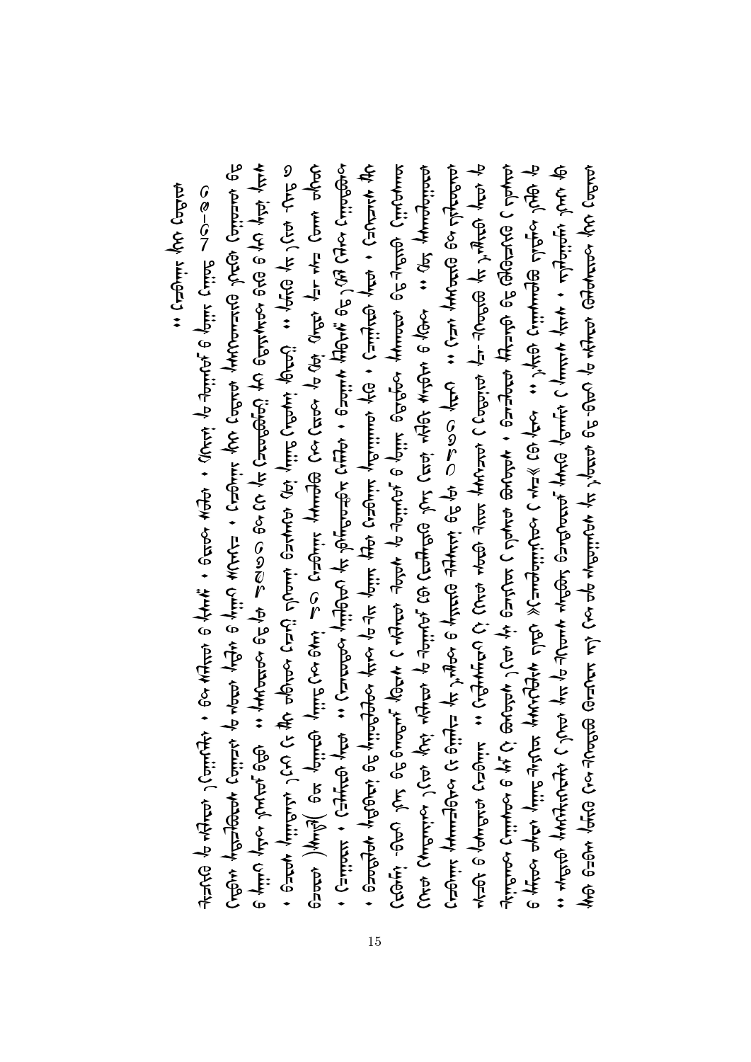e http: phine and hime and he controlled to her control the control of the control of the state of the control of the state of the state of the state of the state of the state of the state of the state of the state of the ᢗ᠇ᠲᠪᠬ᠂ᠰᠲᠷᢖᠯᡋᡡᡆᠰ᠂ᠺᠳᠶᡏᢍᢣ᠂ᡮᡖ᠊ᠰᢑᢍ᠂ᡮᠲᠯ᠇᠂ᡦ᠂ᡮᡎᢊ᠂ᠰᢉᡪᡊᠢᠴ᠂᠂᠂ᠺ᠇ᠫᠬᡎᡵ᠂ᢤᢉᡢ᠄ᠺᡆᢐᠢᠣᡃ᠂ᢥᠰᢉᡘᠳᠴᠢᢙ᠈ᡗᠡᡄᢙ᠂ᠺᡆᢖᠴᠠᠦ᠂ᡦᠲ e with it also e the service of the sealer of the sealer of the condition of the sealer of the sealer of the sealer of the sealer of the sealer of the sealer of the sealer of the sealer of the sealer of the sealer of the s وعققه الإسفار وقد مقشقق وننشف وبتكوينيذ وبستهوة وبمدوحتمد مورونة والمنافس والمتمام والمتحد وتسبب فتهد بالمعارضة יו כ קטעפאיט נו פטאיני , וו נופטיניי יו נופטיני לאוניביט לו לייטרי קטני לאוניביט לאוניביט לשיי לבי לייטר לאבט ל … wester hundrotely had the speak the same earground turned termine to the chinese that in registing some to وعحم بننتعتمد بدندسته ولا يهره والمسنة وعدسة وعديته والمتبكر والمنافر والمنافر والمنافر والمنافر والمنافر والمتحدين والمحمول والمستوري وعمعيهم سادوهاجذ والاستنطوعون باخدم بوعلا برماند برهانيد بالمستنسم بلاره والعنينيون بالحقاء وعلامه يهله كخوينيا -قامن بانتد وفاضحتير رويديد و بنهيجير بوغفتشهر و بوئند وهيفوم بربسفحقر وفاعلاق وتشامرسف chostic so bitter of the state of the state of the sea of the sea of the sea the sea bittership lha saan loka (ee Rooma Corner ny Cerver noong lan la yleen se alan la ninen calanere lon longner زېده رېسېنځنۍ رېسېنځنۍ روسته په پامنتونو په دې پرېد وې د موړنو وې د مولود او مورد برې په او د انه د انه کو انه ا **Proper Controls of the figure of the control of the Controls of the Control Control Controls Controls Controls** رعىتقعد ، رغيودق رېخمه رېمىدەقە، رېغىدەقە، رېزلومەن رېد ئويوقەغۇند رېزيون، وغقتنىر، زيونىر وق رېز زېزىن رىنتىقھەن - اختلاه المنهيجة المنظور و وما يون المنظور و المنطقة و المنظور المنظمة المنظور و المنظور و المنظور و المنظور و المنظور و المنظور و المنظور و المنظور المنظور المنظور المنظور المنظور المنظور المنظور المنظور المنظور المنظور

"Croptive for Control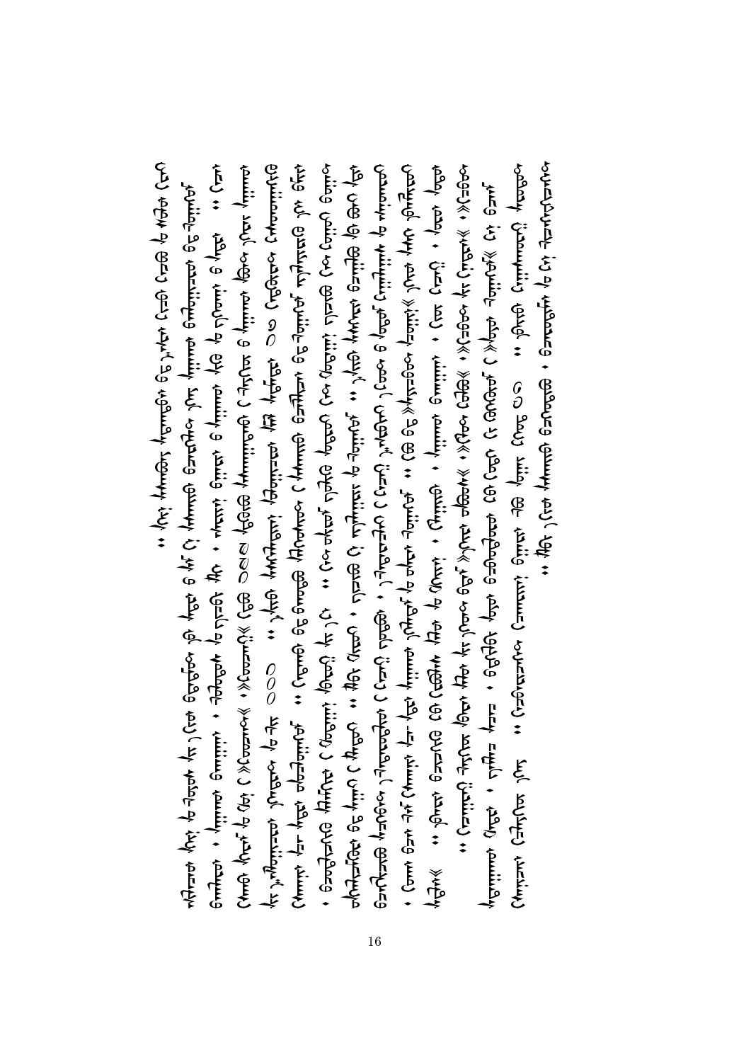.. Ku: Humeon homeon Grao Crao Com le Note Cero i The start of the Secretary of the Magnetic Control of the Magnetic Secret the superinted to a cheap the state of the state of the state of the state of the state of the state of the state of وعنزياحتص بإعادهما أعلقتمقرتها دروعين باهتفتعون رويعين كبرجويين أوهما والمقبر وينتيهننس به ببئمنتص ر<del>ەسىر وعىد يابر (باسىئد باغد بادئىسى</del> ئاينىشى ئايلىكى بە كى قىلىدى بىر كە ۋە ئەبلىكتوەم باغمنىدار ئايدى بىنى ئىسىلاھى وسيسحه ويشتمه وسننشد وعيشنب وعوهون بها وبالحديث ونشحه واستسمه بإنه بوالمسنو والمحد المحاويد (باسند ہت ہوئے ہم استخابات کا مقسوق و وسمع ہون ہو است و مستوق ہوئے ہوئے اور استحاد کا مقامت کی استخاب ہوئے ہیں ch<del>nheider</del> es him chhean ... Her area . chea ci mphirer le deimer ... Jere hunner e<del>suige</del> le <del>eu</del> len بدي به بهيجه وعجرده دق رهويه بوم مه به رويدن ، ريشتها ، بششف ، بششف وسننشد ، ربعد ويصرف ، بوحق ، وك ᠅᠂ᢉᠨᡔᠠᡍᡄᡗ᠄ᠢᡪᠺᠢᡡ᠂ᡌᡆᢏᠰ᠂ᡮᠯᡐ᠂ᡮᡕ᠂᠍ᡗᡂ᠅᠖ᠳᠰ᠅᠈ᠺᠯᡂᠰ«᠂᠈᠈ᠺᠯᡂᠰ«᠂᠈᠈ᠺᠲᡉ«᠃᠈ᢄᡱ᠖᠅ᠰᡕᢗᡃᠨᢘᢘᠰ«᠃᠉ᢗᠴᡋᢦ (بسننعد زعيلكرتمد فريز والتحارين والنعد والمنعد والمنافذ والمتعارين والمتعارين والمتعارين والمتعارين والمتعارين والمتعارين والمتعارين والمتعارين والمتعارين والمتعارين والمتعارين والمتعارين والمتعارين والمتعارين والمتعارين Chmor then to Got C »Coosmer Coo Deed to the formation C Tribute of the South the state of the C Tribushing فعفطيمون زيميته والمقنننا والمقننيا بواحمن زبعه مراجمر فأعلاق ومقص زمع زمعتنيا فأصدق زيمه ومنفن ومنتي hommer in the internal to the lot of the conduction conduction of the conduction of the conduction of the conduction of the conduction of the conduction of the conduction of the conduction of the conduction of the conducti <u> بوستیم برید: به عمکیر بلا زدم وهدومی ای برفتی و بیر را بیرسدی وعدویین اسک باشیم وسمانندحه وه عمانشهر</u>

16